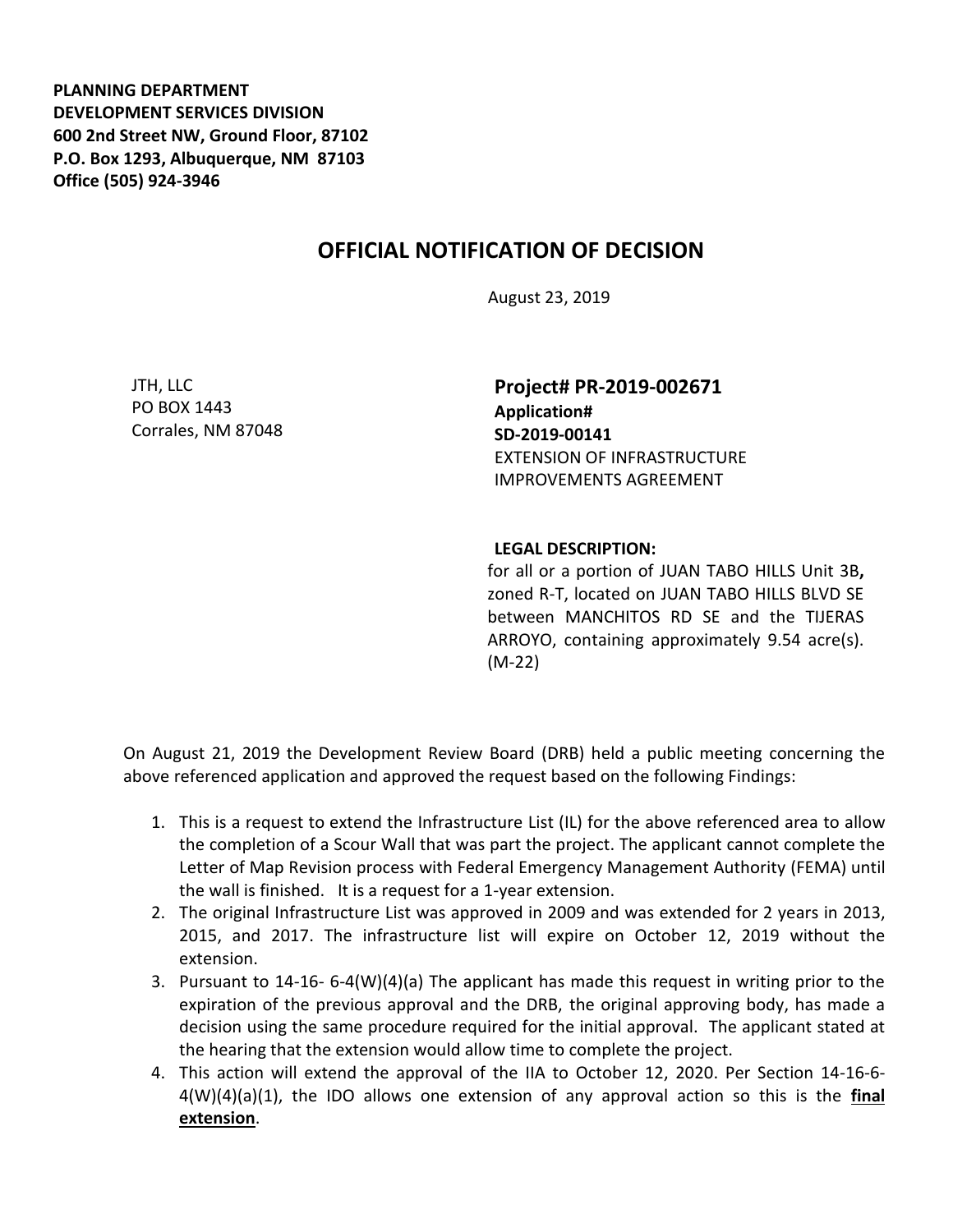**PLANNING DEPARTMENT DEVELOPMENT SERVICES DIVISION 600 2nd Street NW, Ground Floor, 87102 P.O. Box 1293, Albuquerque, NM 87103 Office (505) 924-3946** 

## **OFFICIAL NOTIFICATION OF DECISION**

August 23, 2019

JTH, LLC PO BOX 1443 Corrales, NM 87048

**Project# PR-2019-002671 Application# SD-2019-00141** EXTENSION OF INFRASTRUCTURE IMPROVEMENTS AGREEMENT

## **LEGAL DESCRIPTION:**

for all or a portion of JUAN TABO HILLS Unit 3B**,**  zoned R-T, located on JUAN TABO HILLS BLVD SE between MANCHITOS RD SE and the TIJERAS ARROYO, containing approximately 9.54 acre(s). (M-22)

On August 21, 2019 the Development Review Board (DRB) held a public meeting concerning the above referenced application and approved the request based on the following Findings:

- 1. This is a request to extend the Infrastructure List (IL) for the above referenced area to allow the completion of a Scour Wall that was part the project. The applicant cannot complete the Letter of Map Revision process with Federal Emergency Management Authority (FEMA) until the wall is finished. It is a request for a 1-year extension.
- 2. The original Infrastructure List was approved in 2009 and was extended for 2 years in 2013, 2015, and 2017. The infrastructure list will expire on October 12, 2019 without the extension.
- 3. Pursuant to 14-16- 6-4(W)(4)(a) The applicant has made this request in writing prior to the expiration of the previous approval and the DRB, the original approving body, has made a decision using the same procedure required for the initial approval. The applicant stated at the hearing that the extension would allow time to complete the project.
- 4. This action will extend the approval of the IIA to October 12, 2020. Per Section 14-16-6- 4(W)(4)(a)(1), the IDO allows one extension of any approval action so this is the **final extension**.